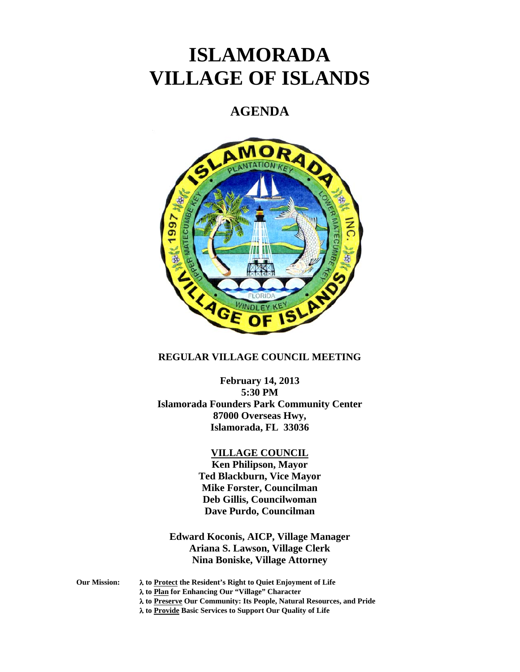# **ISLAMORADA VILLAGE OF ISLANDS**

# **AGENDA**



# **REGULAR VILLAGE COUNCIL MEETING**

**February 14, 2013 5:30 PM Islamorada Founders Park Community Center 87000 Overseas Hwy, Islamorada, FL 33036** 

#### **VILLAGE COUNCIL**

**Ken Philipson, Mayor Ted Blackburn, Vice Mayor Mike Forster, Councilman Deb Gillis, Councilwoman Dave Purdo, Councilman** 

**Edward Koconis, AICP, Village Manager Ariana S. Lawson, Village Clerk Nina Boniske, Village Attorney** 

**Our Mission: to Protect the Resident's Right to Quiet Enjoyment of Life to Plan for Enhancing Our "Village" Character to Preserve Our Community: Its People, Natural Resources, and Pride to Provide Basic Services to Support Our Quality of Life**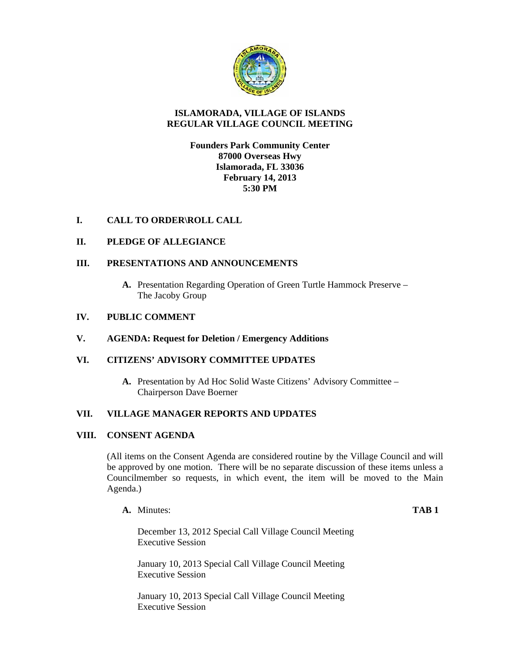

### **ISLAMORADA, VILLAGE OF ISLANDS REGULAR VILLAGE COUNCIL MEETING**

### **Founders Park Community Center 87000 Overseas Hwy Islamorada, FL 33036 February 14, 2013 5:30 PM**

# **I. CALL TO ORDER\ROLL CALL**

# **II. PLEDGE OF ALLEGIANCE**

# **III. PRESENTATIONS AND ANNOUNCEMENTS**

**A.** Presentation Regarding Operation of Green Turtle Hammock Preserve – The Jacoby Group

# **IV. PUBLIC COMMENT**

## **V. AGENDA: Request for Deletion / Emergency Additions**

# **VI. CITIZENS' ADVISORY COMMITTEE UPDATES**

**A.** Presentation by Ad Hoc Solid Waste Citizens' Advisory Committee – Chairperson Dave Boerner

# **VII. VILLAGE MANAGER REPORTS AND UPDATES**

#### **VIII. CONSENT AGENDA**

(All items on the Consent Agenda are considered routine by the Village Council and will be approved by one motion. There will be no separate discussion of these items unless a Councilmember so requests, in which event, the item will be moved to the Main Agenda.)

**A.** Minutes: **TAB 1**

December 13, 2012 Special Call Village Council Meeting Executive Session

January 10, 2013 Special Call Village Council Meeting Executive Session

January 10, 2013 Special Call Village Council Meeting Executive Session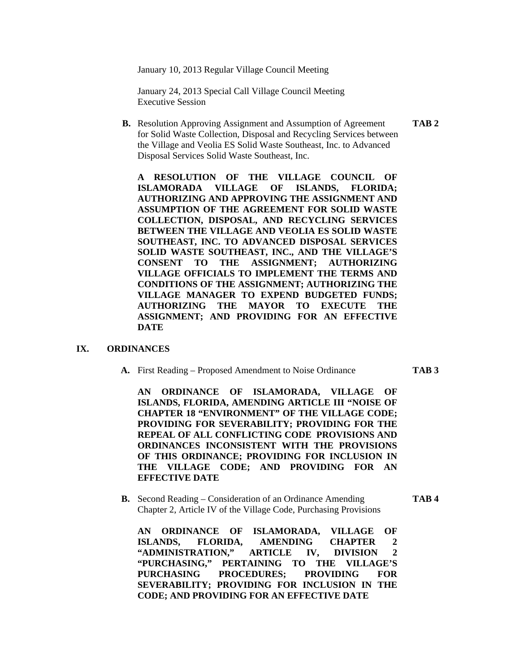January 10, 2013 Regular Village Council Meeting

January 24, 2013 Special Call Village Council Meeting Executive Session

**B.** Resolution Approving Assignment and Assumption of Agreement **TAB 2** for Solid Waste Collection, Disposal and Recycling Services between the Village and Veolia ES Solid Waste Southeast, Inc. to Advanced Disposal Services Solid Waste Southeast, Inc.

**A RESOLUTION OF THE VILLAGE COUNCIL OF ISLAMORADA VILLAGE OF ISLANDS, FLORIDA; AUTHORIZING AND APPROVING THE ASSIGNMENT AND ASSUMPTION OF THE AGREEMENT FOR SOLID WASTE COLLECTION, DISPOSAL, AND RECYCLING SERVICES BETWEEN THE VILLAGE AND VEOLIA ES SOLID WASTE SOUTHEAST, INC. TO ADVANCED DISPOSAL SERVICES SOLID WASTE SOUTHEAST, INC., AND THE VILLAGE'S CONSENT TO THE ASSIGNMENT; AUTHORIZING VILLAGE OFFICIALS TO IMPLEMENT THE TERMS AND CONDITIONS OF THE ASSIGNMENT; AUTHORIZING THE VILLAGE MANAGER TO EXPEND BUDGETED FUNDS; AUTHORIZING THE MAYOR TO EXECUTE THE ASSIGNMENT; AND PROVIDING FOR AN EFFECTIVE DATE** 

#### **IX. ORDINANCES**

**A.** First Reading – Proposed Amendment to Noise Ordinance **TAB 3** 

**AN ORDINANCE OF ISLAMORADA, VILLAGE OF ISLANDS, FLORIDA, AMENDING ARTICLE III "NOISE OF CHAPTER 18 "ENVIRONMENT" OF THE VILLAGE CODE; PROVIDING FOR SEVERABILITY; PROVIDING FOR THE REPEAL OF ALL CONFLICTING CODE PROVISIONS AND ORDINANCES INCONSISTENT WITH THE PROVISIONS OF THIS ORDINANCE; PROVIDING FOR INCLUSION IN THE VILLAGE CODE; AND PROVIDING FOR AN EFFECTIVE DATE** 

**B.** Second Reading – Consideration of an Ordinance Amending **TAB 4**  Chapter 2, Article IV of the Village Code, Purchasing Provisions

**AN ORDINANCE OF ISLAMORADA, VILLAGE OF ISLANDS, FLORIDA, AMENDING CHAPTER 2 "ADMINISTRATION," ARTICLE IV, DIVISION 2 "PURCHASING," PERTAINING TO THE VILLAGE'S PURCHASING PROCEDURES; PROVIDING FOR SEVERABILITY; PROVIDING FOR INCLUSION IN THE CODE; AND PROVIDING FOR AN EFFECTIVE DATE**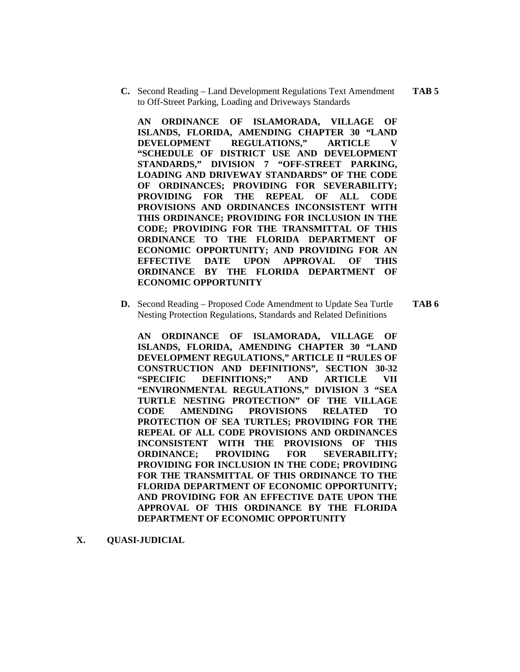**C.** Second Reading – Land Development Regulations Text Amendment **TAB 5**  to Off-Street Parking, Loading and Driveways Standards

**AN ORDINANCE OF ISLAMORADA, VILLAGE OF ISLANDS, FLORIDA, AMENDING CHAPTER 30 "LAND DEVELOPMENT REGULATIONS," ARTICLE V "SCHEDULE OF DISTRICT USE AND DEVELOPMENT STANDARDS," DIVISION 7 "OFF-STREET PARKING, LOADING AND DRIVEWAY STANDARDS" OF THE CODE OF ORDINANCES; PROVIDING FOR SEVERABILITY; PROVIDING FOR THE REPEAL OF ALL CODE PROVISIONS AND ORDINANCES INCONSISTENT WITH THIS ORDINANCE; PROVIDING FOR INCLUSION IN THE CODE; PROVIDING FOR THE TRANSMITTAL OF THIS ORDINANCE TO THE FLORIDA DEPARTMENT OF ECONOMIC OPPORTUNITY; AND PROVIDING FOR AN EFFECTIVE DATE UPON APPROVAL OF THIS ORDINANCE BY THE FLORIDA DEPARTMENT OF ECONOMIC OPPORTUNITY**

**D.** Second Reading – Proposed Code Amendment to Update Sea Turtle **TAB 6**  Nesting Protection Regulations, Standards and Related Definitions

**AN ORDINANCE OF ISLAMORADA, VILLAGE OF ISLANDS, FLORIDA, AMENDING CHAPTER 30 "LAND DEVELOPMENT REGULATIONS," ARTICLE II "RULES OF CONSTRUCTION AND DEFINITIONS", SECTION 30-32 "SPECIFIC DEFINITIONS;" AND ARTICLE VII "ENVIRONMENTAL REGULATIONS," DIVISION 3 "SEA TURTLE NESTING PROTECTION" OF THE VILLAGE CODE AMENDING PROVISIONS RELATED TO PROTECTION OF SEA TURTLES; PROVIDING FOR THE REPEAL OF ALL CODE PROVISIONS AND ORDINANCES INCONSISTENT WITH THE PROVISIONS OF THIS ORDINANCE; PROVIDING FOR SEVERABILITY; PROVIDING FOR INCLUSION IN THE CODE; PROVIDING FOR THE TRANSMITTAL OF THIS ORDINANCE TO THE FLORIDA DEPARTMENT OF ECONOMIC OPPORTUNITY; AND PROVIDING FOR AN EFFECTIVE DATE UPON THE APPROVAL OF THIS ORDINANCE BY THE FLORIDA DEPARTMENT OF ECONOMIC OPPORTUNITY** 

**X. QUASI-JUDICIAL**